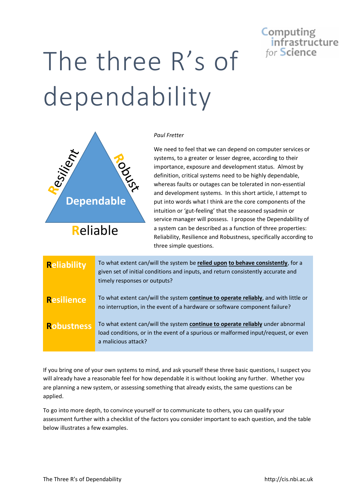## **Computing** infrastructure for Science

## The three R's of dependability



## *Paul Fretter*

We need to feel that we can depend on computer services or systems, to a greater or lesser degree, according to their importance, exposure and development status. Almost by definition, critical systems need to be highly dependable, whereas faults or outages can be tolerated in non-essential and development systems. In this short article, I attempt to put into words what I think are the core components of the intuition or 'gut-feeling' that the seasoned sysadmin or service manager will possess. I propose the Dependability of a system can be described as a function of three properties: Reliability, Resilience and Robustness, specifically according to three simple questions.

| <b>Reliability</b> | To what extent can/will the system be relied upon to behave consistently, for a<br>given set of initial conditions and inputs, and return consistently accurate and<br>timely responses or outputs? |
|--------------------|-----------------------------------------------------------------------------------------------------------------------------------------------------------------------------------------------------|
| <b>Resilience</b>  | To what extent can/will the system continue to operate reliably, and with little or<br>no interruption, in the event of a hardware or software component failure?                                   |
| <b>Robustness</b>  | To what extent can/will the system continue to operate reliably under abnormal<br>load conditions, or in the event of a spurious or malformed input/request, or even<br>a malicious attack?         |

If you bring one of your own systems to mind, and ask yourself these three basic questions, I suspect you will already have a reasonable feel for how dependable it is without looking any further. Whether you are planning a new system, or assessing something that already exists, the same questions can be applied.

To go into more depth, to convince yourself or to communicate to others, you can qualify your assessment further with a checklist of the factors you consider important to each question, and the table below illustrates a few examples.